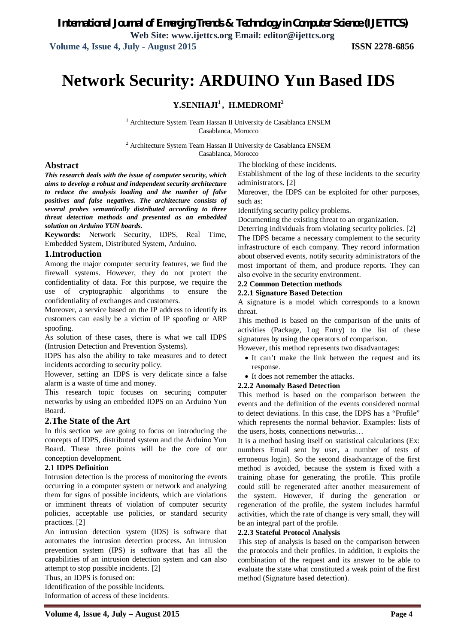# **Network Security: ARDUINO Yun Based IDS**

#### **Y.SENHAJI<sup>1</sup> , H.MEDROMI<sup>2</sup>**

 $^{\rm 1}$  Architecture System Team Hassan II University de Casablanca ENSEM Casablanca, Morocco

 $^2$  Architecture System Team Hassan II University de Casablanca ENSEM Casablanca, Morocco

#### **Abstract**

*This research deals with the issue of computer security, which aims to develop a robust and independent security architecture to reduce the analysis loading and the number of false positives and false negatives. The architecture consists of several probes semantically distributed according to three threat detection methods and presented as an embedded solution on Arduino YUN boards.*

**Keywords:** Network Security, IDPS, Real Time, Embedded System, Distributed System, Arduino.

#### **1.Introduction**

Among the major computer security features, we find the firewall systems. However, they do not protect the confidentiality of data. For this purpose, we require the use of cryptographic algorithms to ensure the confidentiality of exchanges and customers.

Moreover, a service based on the IP address to identify its customers can easily be a victim of IP spoofing or ARP spoofing.

As solution of these cases, there is what we call IDPS (Intrusion Detection and Prevention Systems).

IDPS has also the ability to take measures and to detect incidents according to security policy.

However, setting an IDPS is very delicate since a false alarm is a waste of time and money.

This research topic focuses on securing computer networks by using an embedded IDPS on an Arduino Yun Board.

#### **2.The State of the Art**

In this section we are going to focus on introducing the concepts of IDPS, distributed system and the Arduino Yun Board. These three points will be the core of our conception development.

#### **2.1 IDPS Definition**

Intrusion detection is the process of monitoring the events occurring in a computer system or network and analyzing them for signs of possible incidents, which are violations or imminent threats of violation of computer security policies, acceptable use policies, or standard security practices. [2]

An intrusion detection system (IDS) is software that automates the intrusion detection process. An intrusion prevention system (IPS) is software that has all the capabilities of an intrusion detection system and can also attempt to stop possible incidents. [2]

Thus, an IDPS is focused on:

Identification of the possible incidents.

Information of access of these incidents.

The blocking of these incidents.

Establishment of the log of these incidents to the security administrators. [2]

Moreover, the IDPS can be exploited for other purposes, such as:

Identifying security policy problems.

Documenting the existing threat to an organization.

Deterring individuals from violating security policies. [2] The IDPS became a necessary complement to the security infrastructure of each company. They record information about observed events, notify security administrators of the most important of them, and produce reports. They can also evolve in the security environment.

#### **2.2 Common Detection methods**

#### **2.2.1 Signature Based Detection**

A signature is a model which corresponds to a known threat.

This method is based on the comparison of the units of activities (Package, Log Entry) to the list of these signatures by using the operators of comparison.

However, this method represents two disadvantages:

- It can't make the link between the request and its response.
- It does not remember the attacks.

#### **2.2.2 Anomaly Based Detection**

This method is based on the comparison between the events and the definition of the events considered normal to detect deviations. In this case, the IDPS has a "Profile" which represents the normal behavior. Examples: lists of the users, hosts, connections networks…

It is a method basing itself on statistical calculations (Ex: numbers Email sent by user, a number of tests of erroneous login). So the second disadvantage of the first method is avoided, because the system is fixed with a training phase for generating the profile. This profile could still be regenerated after another measurement of the system. However, if during the generation or regeneration of the profile, the system includes harmful activities, which the rate of change is very small, they will be an integral part of the profile.

#### **2.2.3 Stateful Protocol Analysis**

This step of analysis is based on the comparison between the protocols and their profiles. In addition, it exploits the combination of the request and its answer to be able to evaluate the state what constituted a weak point of the first method (Signature based detection).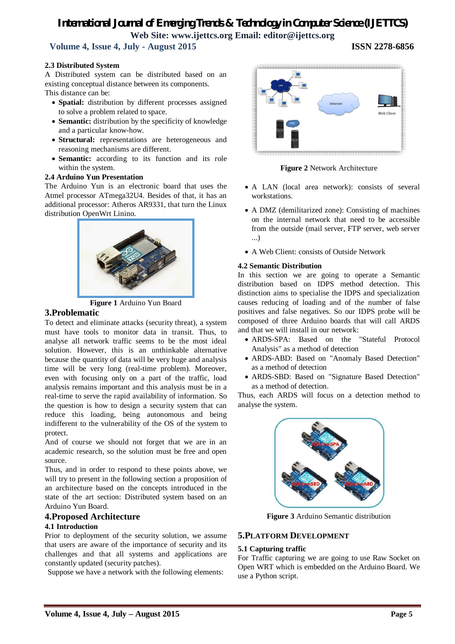**Volume 4, Issue 4, July - August 2015 ISSN 2278-6856**

#### **2.3 Distributed System**

A Distributed system can be distributed based on an existing conceptual distance between its components. This distance can be:

- **Spatial:** distribution by different processes assigned to solve a problem related to space.
- **Semantic:** distribution by the specificity of knowledge and a particular know-how.
- **Structural:** representations are heterogeneous and reasoning mechanisms are different.
- **Semantic:** according to its function and its role within the system.

#### **2.4 Arduino Yun Presentation**

The Arduino Yun is an electronic board that uses the Atmel processor ATmega32U4. Besides of that, it has an additional processor: Atheros AR9331, that turn the Linux distribution OpenWrt Linino.





#### **3.Problematic**

To detect and eliminate attacks (security threat), a system must have tools to monitor data in transit. Thus, to analyse all network traffic seems to be the most ideal solution. However, this is an unthinkable alternative because the quantity of data will be very huge and analysis time will be very long (real-time problem). Moreover, even with focusing only on a part of the traffic, load analysis remains important and this analysis must be in a real-time to serve the rapid availability of information. So the question is how to design a security system that can reduce this loading, being autonomous and being indifferent to the vulnerability of the OS of the system to protect.

And of course we should not forget that we are in an academic research, so the solution must be free and open source.

Thus, and in order to respond to these points above, we will try to present in the following section a proposition of an architecture based on the concepts introduced in the state of the art section: Distributed system based on an Arduino Yun Board.

#### **4.Proposed Architecture**

#### **4.1 Introduction**

Prior to deployment of the security solution, we assume that users are aware of the importance of security and its challenges and that all systems and applications are constantly updated (security patches).

Suppose we have a network with the following elements:



**Figure 2** Network Architecture

- A LAN (local area network): consists of several workstations.
- A DMZ (demilitarized zone): Consisting of machines on the internal network that need to be accessible from the outside (mail server, FTP server, web server ...)
- A Web Client: consists of Outside Network

#### **4.2 Semantic Distribution**

In this section we are going to operate a Semantic distribution based on IDPS method detection. This distinction aims to specialise the IDPS and specialization causes reducing of loading and of the number of false positives and false negatives. So our IDPS probe will be composed of three Arduino boards that will call ARDS and that we will install in our network:

- ARDS-SPA: Based on the "Stateful Protocol Analysis" as a method of detection
- ARDS-ABD: Based on "Anomaly Based Detection" as a method of detection
- ARDS-SBD: Based on "Signature Based Detection" as a method of detection.

Thus, each ARDS will focus on a detection method to analyse the system.



**Figure 3** Arduino Semantic distribution

#### **5.PLATFORM DEVELOPMENT**

#### **5.1 Capturing traffic**

For Traffic capturing we are going to use Raw Socket on Open WRT which is embedded on the Arduino Board. We use a Python script.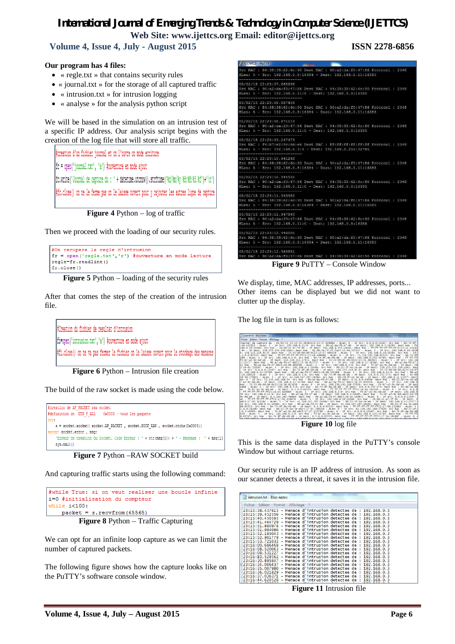$3$  COM12 - PuTTY

 **Volume 4, Issue 4, July - August 2015 ISSN 2278-6856**

#### **Our program has 4 files:**

- « regle.txt » that contains security rules
- « journal.txt » for the storage of all captured traffic
- $\bullet$  « intrusion.txt » for intrusion logging
- « analyse » for the analysis python script

We will be based in the simulation on an intrusion test of a specific IP address. Our analysis script begins with the creation of the log file that will store all traffic.

#creation d'un fichier journal et on l'ouvre on mode ecriture [fc = open('journal.txt', 'a') #ouverture en mode ajout [fc.write('Journal de capture du : ' + datetime.utcnow().strftime('%d/%m/%y %H:%M:%S.%f')+'\n') #fc.close() on ne le ferme pas on le laisse ouvert pour y rajouter les autres ligne de capture

**Figure 4** Python – log of traffic

Then we proceed with the loading of our security rules.

#On recupere la regle d'intrusion fr = open('regle.txt','r') #ouverture en mode lecture regle=fr.readline()  $fr.close()$ 

**Figure 5** Python – loading of the security rules

After that comes the step of the creation of the intrusion file.

#Creation du fichier de resultat d'intrusion fi=open('intrusion.txt','a') #ouverture en mode ajout #fi.close() on ne va pas fermer le fichier on le laisse ouvert pour le stockage des menaces

**Figure 6** Python – Intrusion file creation

The build of the raw socket is made using the code below.



**Figure 7** Python –RAW SOCKET build

And capturing traffic starts using the following command:

| #while True: si on veut realiser une boucle infinie |  |  |  |  |  |  |  |  |
|-----------------------------------------------------|--|--|--|--|--|--|--|--|
| i=0 #initialisation du compteur                     |  |  |  |  |  |  |  |  |
| while i<100:                                        |  |  |  |  |  |  |  |  |
| $packet = s.recv from (65565)$                      |  |  |  |  |  |  |  |  |
| <b>Figure 8</b> Python – Traffic Capturing          |  |  |  |  |  |  |  |  |

We can opt for an infinite loop capture as we can limit the number of captured packets.

The following figure shows how the capture looks like on the PuTTY's software console window.



We display, time, MAC addresses, IP addresses, ports... Other items can be displayed but we did not want to clutter up the display.

The log file in turn is as follows:



**Figure 10** log file

This is the same data displayed in the PuTTY's console Window but without carriage returns.

Our security rule is an IP address of intrusion. As soon as our scanner detects a threat, it saves it in the intrusion file.

| Fichier | Edition | Format | Affichage |                                                                |  |  |
|---------|---------|--------|-----------|----------------------------------------------------------------|--|--|
|         |         |        |           | 23:15:38.437615 - Menace d'intrusion detectee de : 192.168.0.3 |  |  |
|         |         |        |           | 23:15:39.452556 - Menace d'intrusion detectee de : 192.168.0.3 |  |  |
|         |         |        |           | 23:15:40.450595 - Menace d'intrusion detectee de : 192.168.0.3 |  |  |
|         |         |        |           | 23:15:41.464729 - Menace d'intrusion detectee de : 192.168.0.3 |  |  |
|         |         |        |           | 23:15:51.880978 - Menace d'intrusion detectee de : 192.168.0.3 |  |  |
|         |         |        |           | 23:15:51.984086 - Menace d'intrusion detectee de : 192.168.0.3 |  |  |
|         |         |        |           | 23:15:52.185043 - Menace d'intrusion detectee de : 192.168.0.3 |  |  |
|         |         |        |           | 23:15:52.901779 - Menace d'intrusion detectee de : 192.168.0.3 |  |  |
|         |         |        |           | 23:15:53.721032 - Menace d'intrusion detectee de : 192.168.0.3 |  |  |
|         |         |        |           | 23:16:00.686468 - Menace d'intrusion detectee de : 192.168.0.3 |  |  |
|         |         |        |           | 23:16:08.520063 - Menace d'intrusion detectee de : 192.168.0.3 |  |  |
|         |         |        |           | 23:16:09.531227 - Menace d'intrusion detectee de : 192.168.0.3 |  |  |
|         |         |        |           | 23:16:10.529562 - Menace d'intrusion detectee de : 192.168.0.3 |  |  |
|         |         |        |           | 23:16:30.895847 - Menace d'intrusion detectee de : 192.168.0.3 |  |  |
|         |         |        |           | 23:16:34.006437 - Menace d'intrusion detectee de : 192.168.0.3 |  |  |
|         |         |        |           | 23:16:35.007980 - Menace d'intrusion detectee de : 192.168.0.3 |  |  |
|         |         |        |           | 23:16:36.021829 - Menace d'intrusion detectee de : 192.168.0.3 |  |  |
|         |         |        |           | 23:16:37.036371 - Menace d'intrusion detectee de : 192.168.0.3 |  |  |
|         |         |        |           | 23:16:44.620528 - Menace d'intrusion detectee de : 192.168.0.3 |  |  |

**Figure 11** Intrusion file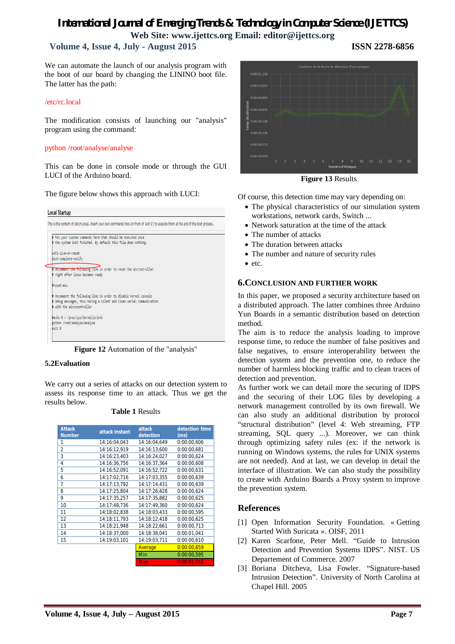## **Volume 4, Issue 4, July - August 2015 ISSN 2278-6856**

We can automate the launch of our analysis program with the boot of our board by changing the LININO boot file. The latter has the path:

#### /etc/rc.local

The modification consists of launching our "analysis" program using the command:

#### python /root/analyse/analyse

This can be done in console mode or through the GUI LUCI of the Arduino board.

The figure below shows this approach with LUCI:

| # the system init finished. By default this file does nothing.<br>wifi-live-or-reset<br>boot-complete-notify<br># Uncomment the following line in order to reset the microntroller<br># right after linux becomes ready<br>#reset-mcu<br>Uncomment the following line in order to disable kernel console<br>debug messages, thus having a silent and clean serial communication<br>with the microcontroller<br>#echo 0 > /proc/sys/kernel/printk<br>python /root/analyse/analyse | Ħ      | Put your custom commands here that should be executed once |  |
|----------------------------------------------------------------------------------------------------------------------------------------------------------------------------------------------------------------------------------------------------------------------------------------------------------------------------------------------------------------------------------------------------------------------------------------------------------------------------------|--------|------------------------------------------------------------|--|
|                                                                                                                                                                                                                                                                                                                                                                                                                                                                                  |        |                                                            |  |
|                                                                                                                                                                                                                                                                                                                                                                                                                                                                                  |        |                                                            |  |
|                                                                                                                                                                                                                                                                                                                                                                                                                                                                                  |        |                                                            |  |
|                                                                                                                                                                                                                                                                                                                                                                                                                                                                                  |        |                                                            |  |
|                                                                                                                                                                                                                                                                                                                                                                                                                                                                                  |        |                                                            |  |
|                                                                                                                                                                                                                                                                                                                                                                                                                                                                                  |        |                                                            |  |
|                                                                                                                                                                                                                                                                                                                                                                                                                                                                                  |        |                                                            |  |
|                                                                                                                                                                                                                                                                                                                                                                                                                                                                                  |        |                                                            |  |
|                                                                                                                                                                                                                                                                                                                                                                                                                                                                                  |        |                                                            |  |
|                                                                                                                                                                                                                                                                                                                                                                                                                                                                                  |        |                                                            |  |
|                                                                                                                                                                                                                                                                                                                                                                                                                                                                                  |        |                                                            |  |
|                                                                                                                                                                                                                                                                                                                                                                                                                                                                                  | exit 0 |                                                            |  |

**Figure 12** Automation of the "analysis"

#### **5.2Evaluation**

We carry out a series of attacks on our detection system to assess its response time to an attack. Thus we get the results below.

| <b>Table 1 Results</b> |
|------------------------|
|------------------------|

| <b>Attack</b><br><b>Number</b> | attack Instant | attack<br>detection | detection time<br>(ms) |
|--------------------------------|----------------|---------------------|------------------------|
| 1                              | 14:16:04,043   | 14:16:04,649        | 0:00:00,606            |
| $\overline{\mathbf{c}}$        | 14:16:12,919   | 14:16:13,600        | 0:00:00,681            |
| 3                              | 14:16:23.403   | 14:16:24.027        | 0:00:00.624            |
| 4                              | 14:16:36,756   | 14:16:37,364        | 0:00:00,608            |
| 5                              | 14:16:52.091   | 14:16:52.722        | 0:00:00,631            |
| 6                              | 14:17:02,716   | 14:17:03,355        | 0:00:00,639            |
| 7                              | 14:17:13,792   | 14:17:14,431        | 0:00:00,639            |
| 8                              | 14:17:25.804   | 14:17:26.428        | 0:00:00,624            |
| 9                              | 14:17:35.257   | 14:17:35,882        | 0:00:00,625            |
| 10                             | 14:17:48,736   | 14:17:49,360        | 0:00:00,624            |
| 11                             | 14:18:02,838   | 14:18:03,433        | 0:00:00,595            |
| 12                             | 14:18:11.793   | 14:18:12,418        | 0:00:00,625            |
| 13                             | 14:18:21.948   | 14:18:22.661        | 0:00:00,713            |
| 14                             | 14:18:37.000   | 14:18:38,041        | 0:00:01.041            |
| 15                             | 14:19:03,101   | 14:19:03,711        | 0:00:00,610            |
|                                |                | Average             | 0:00:00,659            |
|                                |                | Min                 | 0:00:00,595            |
|                                |                | <b>Max</b>          | 0:00:01.041            |



**Figure 13** Results

Of course, this detection time may vary depending on:

- The physical characteristics of our simulation system workstations, network cards, Switch ...
- Network saturation at the time of the attack
- The number of attacks
- The duration between attacks
- The number and nature of security rules
- $\bullet$  etc.

#### **6.CONCLUSION AND FURTHER WORK**

In this paper, we proposed a security architecture based on a distributed approach. The latter combines three Arduino Yun Boards in a semantic distribution based on detection method.

The aim is to reduce the analysis loading to improve response time, to reduce the number of false positives and false negatives, to ensure interoperability between the detection system and the prevention one, to reduce the number of harmless blocking traffic and to clean traces of detection and prevention.

As further work we can detail more the securing of IDPS and the securing of their LOG files by developing a network management controlled by its own firewall. We can also study an additional distribution by protocol "structural distribution" (level 4: Web streaming, FTP streaming, SQL query ...). Moreover, we can think through optimizing safety rules (ex: if the network is running on Windows systems, the rules for UNIX systems are not needed). And at last, we can develop in detail the interface of illustration. We can also study the possibility to create with Arduino Boards a Proxy system to improve the prevention system.

#### **References**

- [1] Open Information Security Foundation. « Getting Started With Suricata ». OISF, 2011
- [2] Karen Scarfone, Peter Mell. "Guide to Intrusion Detection and Prevention Systems IDPS". NIST. US Departement of Commerce. 2007
- [3] Boriana Ditcheva, Lisa Fowler. "Signature-based Intrusion Detection". University of North Carolina at Chapel Hill. 2005